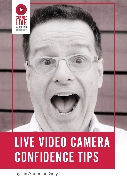

## LIVE VIDEO CAMERA CONFIDENCE TIPS

*by* Ian Anderson Gray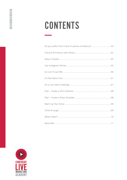## CONTENTS

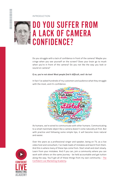#### INTRODUCTION

### <span id="page-2-0"></span>DO YOU SUFFER FROM A LACK OF CAMERA CONFIDENCE?

Do you struggle with a lack of confidence in front of the camera? Maybe you cringe when you see yourself on the screen? Does your brain go to mush when you're in front of the camera? Do you not like the way you look or sound on camera?

#### **If so, you're not alone! Most people find it difficult, and I do too!**

In fact I've asked hundreds of my customers and audience what they struggle with the most, and it's confidence:



As humans, we're wired to communicate with other humans. Communicating to a small inanimate object like a camera doesn't come naturally at first. But with practice and following some simple tips, it will become more natural and easier.



Over the years as a professional singer and speaker, being on TV, as a live video host and consultant, I've made loads of mistakes and learnt from them. And this is where many of these tips come from. Start small and start slowly. Learn from your mistakes. And if you can, join a community where you can work with others on the same journey - be held accountable and get tuition along the way. You'll get all of these things from my own community - [The](https://iag.me/products/academy/)  [Confident Live Marketing Academy.](https://iag.me/products/academy/)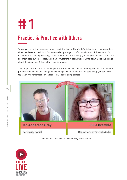<span id="page-3-0"></span>

#### Practice & Practice with Others

You've got to start somewhere - don't overthink things! There's definitely a time to plan your live videos and create checklists. But, you've also got to get comfortable in front of the camera. You can start practicing by recording a video of yourself - introducing you and your business. If you are like most people, you probably won't enjoy watching it back. But do! Write down 3 positive things about the video, and 3 things that need improving.

Then, if possible join with other people, for example in a Facebook private group and practise with pre-recorded videos and then going live. Things will go wrong, but in a safe group you can learn together. And remember - live video is NOT about being perfect!



*Ian with Julia Bramble on the Free Range Social Show*

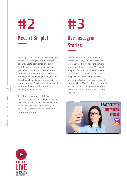<span id="page-4-0"></span>**#2**

#### Keep it Simple!

You might want to build a live studio with all the latest gadgets, but it's almost always best to start small and simple. And the easiest way is to go live from your smartphone. If you have a recent iPhone or Android phone with a decent camera, you should be good to go. Don't forget, you'll need a decent internet connection too. Check your upload speed with speedtest.net - if it is 3Mbps or above, you should be ok.

Over time, once your confidence increases, you can start to bootstrap your live video studio and add extra bits - then move over to broadcasting from your desktop or laptop. But don't try and run before you can walk!

### Use Instagram **Stories #3**

Use Instagram stories (or Facebook stories) as a way to be consistent and to get yourself in front of the camera. Instagram stories are only 15 seconds long, so it's not as much as an onerous task. And what's the worst that can happen? They only last 24 hours! Instagram stories aren't live videos - but they are close. They're short, yet intimate and very recent. It's a great way to start to become more comfortable in front of the camera.





Live Video Camera Confidence Tips

Live Video Camera Confidence Tips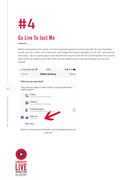<span id="page-5-0"></span>

#### Go Live To Just Me

Before you go live to the world, it's best to practise going live just to yourself. On your Facebook profile, you can create a live video post, and change the privacy settings to "only me". I still practice this today - as it's a great way to test that the tech (such as the Wi-Fi) is working well. Once you've done a few live videos to yourself, then you can expand that to a group of people such as your friends.

| • Il Three WiFi Call   | 11:07                                            | 0, 77%                                                     |  |
|------------------------|--------------------------------------------------|------------------------------------------------------------|--|
| Cancel                 | Select privacy                                   | Done                                                       |  |
| Who can see your post? |                                                  |                                                            |  |
| search results         |                                                  | Your post will appear in News Feed, on your profile and in |  |
| Public                 | Anyone on or off Facebook                        |                                                            |  |
|                        | Friends<br>Your friends on Facebook              |                                                            |  |
|                        | Friends except<br>Friends: Except: Acquaintances |                                                            |  |
|                        | Only me<br>Only me                               |                                                            |  |
| See more               |                                                  |                                                            |  |

*Practice to yourself on Facebook Live by changing privacy to "only me"*

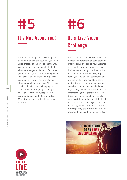<span id="page-6-0"></span>**#5**

#### It's Not About You!

It's about the people you're serving. You don't have to love the sound of your own voice. Instead of thinking about the way you sound and the way you look, think about your target audience. In fact, when you look through the camera, imagine it's your best friend or client - your perfect customer or avatar. They want to hear about you and your message. This is very much to do with slowly changing your mindset and it's not going to change overnight. Again, joining together in a community such as the Confident Live Marketing Academy will help you move forward!

Do a Live Video **Challenge #6**

With live video (and any form of content) it's really important to be consistent. In order to serve and sell to your audience you need to turn up. If your audience don't see you turning up - they'll think you don't care, or even worse, forget about you! To gain your confidence and professionalism you need to practice a lot at the start - so practice over set period of time. A live video challenge is a great way to build your confidence and consistency. Join together with others doing the challenge and go live daily over a certain period of time. Initially, do it for five days. So this, again, could be in a group, but the more you do it, the more regularly, the more consistent you become, the easier it will be longer term.





Live Video Camera Confidence Tips

Live Video Camera Confidence Tips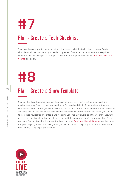<span id="page-7-0"></span>**#7**

#### Plan - Create a Tech Checklist

Things will go wrong with the tech, but you don't need to let the tech rule or ruin you! Create a checklist of all the things that you need to implement from a tech point of view and keep it as simple as possible. I've got an example tech checklist that you can use in my [Confident Live Mini](https://iag.me/products/confidentlivemini/?from=confidencetips)  [Course](https://iag.me/products/confidentlivemini/?from=confidencetips) (see below).

## **#8**

#### Plan - Create a Show Template

So many live broadcasts fail because they have no structure. They're just someone waffling on about nothing. Don't do that! You need to be focussed and think of your audience! Create a checklist with the content you want to share. Come up with 3 to 5 points, and think about what you are going to say - this will be the main section of your show. At the start of the show, you'll want to introduce yourself and your topic and welcome your replay viewers, and then your live viewers. At the end, you'll want to share a call to action and tell people when you're next going live. Those are just a few pointers, but if you want to know more my [Confident Live Mini Course](https://iag.me/products/confidentlivemini/?from=confidencetips) has live show template to get you started! Since you've got this far, I wanted to give you 50% off. Use the coupon **CONFIDENCE TIPS** to get the discount.



**08**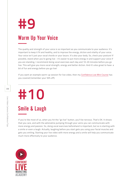<span id="page-8-0"></span>

#### Warm Up Your Voice

The quality and strength of your voice is so important as you communicate to your audience. It's important to keep it fit and healthy, and to improve the energy, diction and vitality of your voice. Your voice isn't just your vocal chords or your larynx. It's also your body. So, check your posture! If possible, stand when you're going live - it's easier to put more energy in and support your voice if you are standing. I recommend doing vocal exercises each day and 10-20 minutes before you go live. This will give you more vocal strength, energy and better diction. And it's also great to have a bit of fun and energy before you go live!

If you want an example warm-up session for live video, then my [Confidence Live Mini Course](https://iag.me/products/confidentlivemini/?from=confidencetips) has you covered (remember your 50% off).

# **#10**

### Smile & Laugh

If you're like most of us, when you hit the "go live" button, you'll be nervous. That's OK. It shows that you care, and with the adrenaline pumping through your veins you can communicate with more energy and passion. So, doing vocal exercises beforehand is important, but so is starting with a smile or even a laugh. Actually, laughing before you start gets you using your facial muscles and gets you smiling. Starting your live video with more energy and a smile will help you communicate much more effectively to your audience.

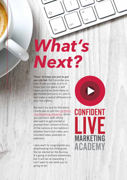**These 10 steps are just to get you started.** But I promise you, even if you put only 3 or 4 of these tips into place, it will mean you're far more likely to get started and carry on, and in fact make a radical difference to your live videos.

<span id="page-9-0"></span>*What's* 

 $n_{\Omega}$ 

*Next?*

**10**

Live Video Camera Confidence Tips

Live Video Camera Confidence Tips

But don't try and do this alone. I invite you to join the [Confident](https://iag.me/products/academy/)  [Live Marketing Academy,](https://iag.me/products/academy/) where you can learn with others who want to get started or improve their content in front of the camera or microphone whether that's live video, prerecorded video, podcasts or webinars.

I also want to congratulate you downloading this little guide. You've started on the journey. It's going to be hard sometimes, but it will be so rewarding. I can't wait to see what you're going to do!

## CONFIDENT **LIVE** MARKETING ACADEMY